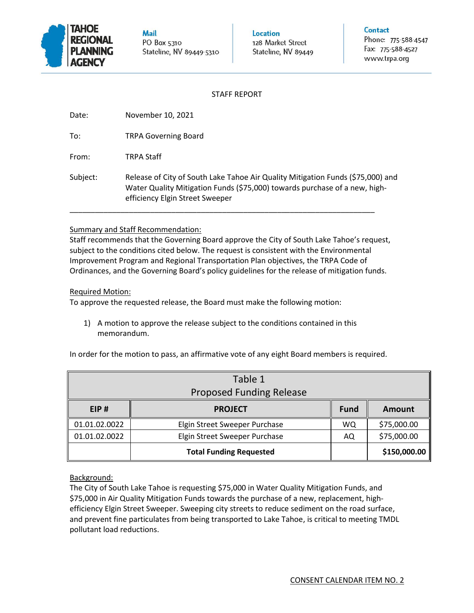

**Mail** PO Box 5310 Stateline, NV 89449-5310

Location 128 Market Street Stateline, NV 89449 Contact

Phone: 775-588-4547 Fax: 775-588-4527 www.trpa.org

## STAFF REPORT

| Date: | November 10, 2021 |  |
|-------|-------------------|--|
|       |                   |  |

To: TRPA Governing Board

From: TRPA Staff

Subject: Release of City of South Lake Tahoe Air Quality Mitigation Funds (\$75,000) and Water Quality Mitigation Funds (\$75,000) towards purchase of a new, highefficiency Elgin Street Sweeper

\_\_\_\_\_\_\_\_\_\_\_\_\_\_\_\_\_\_\_\_\_\_\_\_\_\_\_\_\_\_\_\_\_\_\_\_\_\_\_\_\_\_\_\_\_\_\_\_\_\_\_\_\_\_\_\_\_\_\_\_\_\_\_\_\_\_\_\_\_\_\_\_

# Summary and Staff Recommendation:

Staff recommends that the Governing Board approve the City of South Lake Tahoe's request, subject to the conditions cited below. The request is consistent with the Environmental Improvement Program and Regional Transportation Plan objectives, the TRPA Code of Ordinances, and the Governing Board's policy guidelines for the release of mitigation funds.

# Required Motion:

To approve the requested release, the Board must make the following motion:

1) A motion to approve the release subject to the conditions contained in this memorandum.

|                                 | Table 1                        |             |              |  |
|---------------------------------|--------------------------------|-------------|--------------|--|
| <b>Proposed Funding Release</b> |                                |             |              |  |
| EIP#                            | <b>PROJECT</b>                 | <b>Fund</b> | Amount       |  |
| 01.01.02.0022                   | Elgin Street Sweeper Purchase  | WQ          | \$75,000.00  |  |
| 01.01.02.0022                   | Elgin Street Sweeper Purchase  | AQ          | \$75,000.00  |  |
|                                 | <b>Total Funding Requested</b> |             | \$150,000.00 |  |

In order for the motion to pass, an affirmative vote of any eight Board members is required.

# Background:

The City of South Lake Tahoe is requesting \$75,000 in Water Quality Mitigation Funds, and \$75,000 in Air Quality Mitigation Funds towards the purchase of a new, replacement, highefficiency Elgin Street Sweeper. Sweeping city streets to reduce sediment on the road surface, and prevent fine particulates from being transported to Lake Tahoe, is critical to meeting TMDL pollutant load reductions.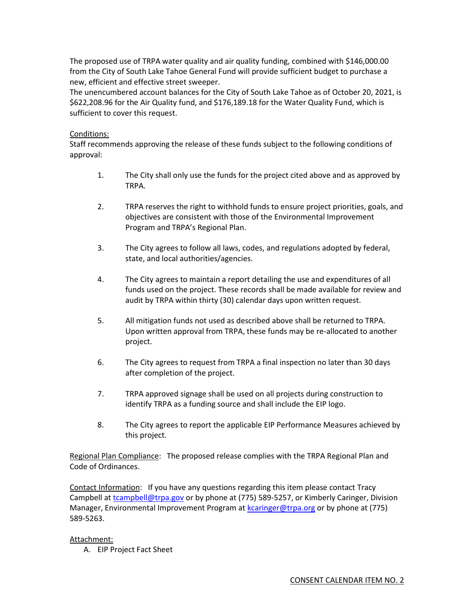The proposed use of TRPA water quality and air quality funding, combined with \$146,000.00 from the City of South Lake Tahoe General Fund will provide sufficient budget to purchase a new, efficient and effective street sweeper.

The unencumbered account balances for the City of South Lake Tahoe as of October 20, 2021, is \$622,208.96 for the Air Quality fund, and \$176,189.18 for the Water Quality Fund, which is sufficient to cover this request.

## Conditions:

Staff recommends approving the release of these funds subject to the following conditions of approval:

- 1. The City shall only use the funds for the project cited above and as approved by TRPA.
- 2. TRPA reserves the right to withhold funds to ensure project priorities, goals, and objectives are consistent with those of the Environmental Improvement Program and TRPA's Regional Plan.
- 3. The City agrees to follow all laws, codes, and regulations adopted by federal, state, and local authorities/agencies.
- 4. The City agrees to maintain a report detailing the use and expenditures of all funds used on the project. These records shall be made available for review and audit by TRPA within thirty (30) calendar days upon written request.
- 5. All mitigation funds not used as described above shall be returned to TRPA. Upon written approval from TRPA, these funds may be re-allocated to another project.
- 6. The City agrees to request from TRPA a final inspection no later than 30 days after completion of the project.
- 7. TRPA approved signage shall be used on all projects during construction to identify TRPA as a funding source and shall include the EIP logo.
- 8. The City agrees to report the applicable EIP Performance Measures achieved by this project.

Regional Plan Compliance: The proposed release complies with the TRPA Regional Plan and Code of Ordinances.

Contact Information: If you have any questions regarding this item please contact Tracy Campbell at [tcampbell@trpa.gov](mailto:tcampbell@trpa.gov) or by phone at (775) 589-5257, or Kimberly Caringer, Division Manager, Environmental Improvement Program at [kcaringer@trpa.org](mailto:kcaringer@trpa.org) or by phone at (775) 589-5263.

Attachment:

A. EIP Project Fact Sheet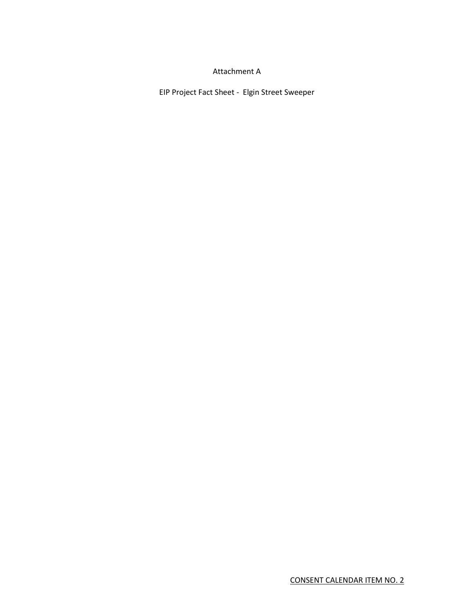### Attachment A

EIP Project Fact Sheet - Elgin Street Sweeper